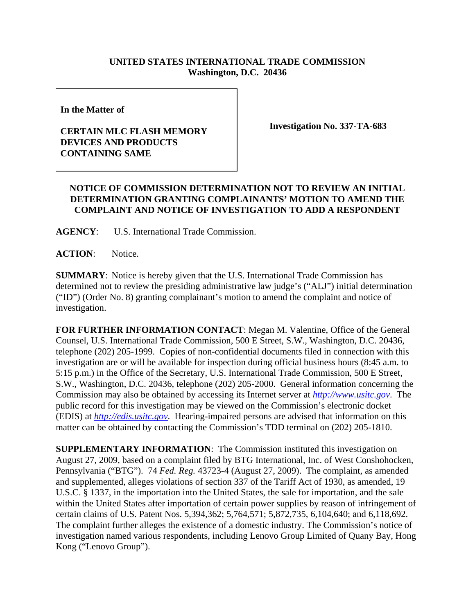## **UNITED STATES INTERNATIONAL TRADE COMMISSION Washington, D.C. 20436**

**In the Matter of** 

## **CERTAIN MLC FLASH MEMORY DEVICES AND PRODUCTS CONTAINING SAME**

**Investigation No. 337-TA-683**

## **NOTICE OF COMMISSION DETERMINATION NOT TO REVIEW AN INITIAL DETERMINATION GRANTING COMPLAINANTS' MOTION TO AMEND THE COMPLAINT AND NOTICE OF INVESTIGATION TO ADD A RESPONDENT**

**AGENCY**: U.S. International Trade Commission.

**ACTION**: Notice.

**SUMMARY**: Notice is hereby given that the U.S. International Trade Commission has determined not to review the presiding administrative law judge's ("ALJ") initial determination ("ID") (Order No. 8) granting complainant's motion to amend the complaint and notice of investigation.

**FOR FURTHER INFORMATION CONTACT**: Megan M. Valentine, Office of the General Counsel, U.S. International Trade Commission, 500 E Street, S.W., Washington, D.C. 20436, telephone (202) 205-1999. Copies of non-confidential documents filed in connection with this investigation are or will be available for inspection during official business hours (8:45 a.m. to 5:15 p.m.) in the Office of the Secretary, U.S. International Trade Commission, 500 E Street, S.W., Washington, D.C. 20436, telephone (202) 205-2000. General information concerning the Commission may also be obtained by accessing its Internet server at *http://www.usitc.gov*. The public record for this investigation may be viewed on the Commission's electronic docket (EDIS) at *http://edis.usitc.gov*. Hearing-impaired persons are advised that information on this matter can be obtained by contacting the Commission's TDD terminal on (202) 205-1810.

**SUPPLEMENTARY INFORMATION**: The Commission instituted this investigation on August 27, 2009, based on a complaint filed by BTG International, Inc. of West Conshohocken, Pennsylvania ("BTG"). 74 *Fed. Reg.* 43723-4 (August 27, 2009). The complaint, as amended and supplemented, alleges violations of section 337 of the Tariff Act of 1930, as amended, 19 U.S.C. § 1337, in the importation into the United States, the sale for importation, and the sale within the United States after importation of certain power supplies by reason of infringement of certain claims of U.S. Patent Nos. 5,394,362; 5,764,571; 5,872,735, 6,104,640; and 6,118,692. The complaint further alleges the existence of a domestic industry. The Commission's notice of investigation named various respondents, including Lenovo Group Limited of Quany Bay, Hong Kong ("Lenovo Group").